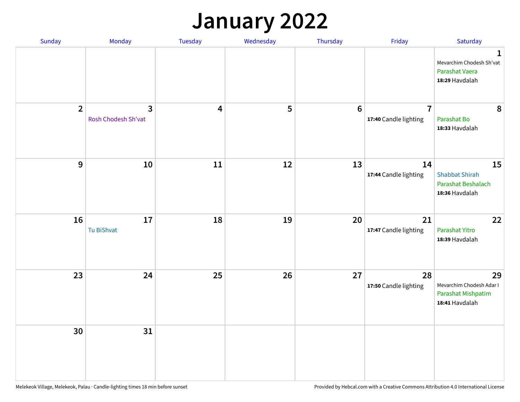## **January 2022**

| Sunday         | Monday                                         | Tuesday                 | Wednesday | Thursday        | Friday                                  | Saturday                                                                    |
|----------------|------------------------------------------------|-------------------------|-----------|-----------------|-----------------------------------------|-----------------------------------------------------------------------------|
|                |                                                |                         |           |                 |                                         | $\mathbf 1$<br>Mevarchim Chodesh Sh'vat<br>Parashat Vaera<br>18:29 Havdalah |
| $\overline{2}$ | $\overline{\mathbf{3}}$<br>Rosh Chodesh Sh'vat | $\overline{\mathbf{4}}$ | 5         | $6\phantom{1}6$ | $\overline{7}$<br>17:40 Candle lighting | 8<br>Parashat Bo<br>18:33 Havdalah                                          |
| 9              | 10                                             | 11                      | 12        | 13              | 14<br>17:44 Candle lighting             | 15<br><b>Shabbat Shirah</b><br>Parashat Beshalach<br>18:36 Havdalah         |
| 16             | 17<br>Tu BiShvat                               | 18                      | 19        | 20              | 21<br>17:47 Candle lighting             | 22<br>Parashat Yitro<br>18:39 Havdalah                                      |
| 23             | 24                                             | 25                      | 26        | 27              | 28<br>17:50 Candle lighting             | 29<br>Mevarchim Chodesh Adar I<br>Parashat Mishpatim<br>18:41 Havdalah      |
| 30             | 31                                             |                         |           |                 |                                         |                                                                             |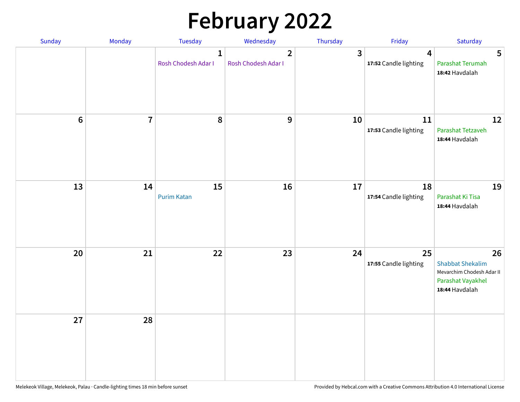# **February 2022**

| Sunday | Monday                  | Tuesday                             | Wednesday                             | Thursday | Friday                                           | Saturday                                                                                          |
|--------|-------------------------|-------------------------------------|---------------------------------------|----------|--------------------------------------------------|---------------------------------------------------------------------------------------------------|
|        |                         | $\mathbf{1}$<br>Rosh Chodesh Adar I | $\overline{2}$<br>Rosh Chodesh Adar I | 3        | $\overline{\mathbf{4}}$<br>17:52 Candle lighting | $5\phantom{1}$<br>Parashat Terumah<br>18:42 Havdalah                                              |
| $6\,$  | $\overline{\mathbf{I}}$ | 8                                   | 9                                     | 10       | $11\,$<br>17:53 Candle lighting                  | 12<br>Parashat Tetzaveh<br>18:44 Havdalah                                                         |
| 13     | 14                      | 15<br><b>Purim Katan</b>            | 16                                    | 17       | 18<br>17:54 Candle lighting                      | 19<br>Parashat Ki Tisa<br>18:44 Havdalah                                                          |
| 20     | 21                      | 22                                  | 23                                    | 24       | 25<br>17:55 Candle lighting                      | 26<br><b>Shabbat Shekalim</b><br>Mevarchim Chodesh Adar II<br>Parashat Vayakhel<br>18:44 Havdalah |
| 27     | 28                      |                                     |                                       |          |                                                  |                                                                                                   |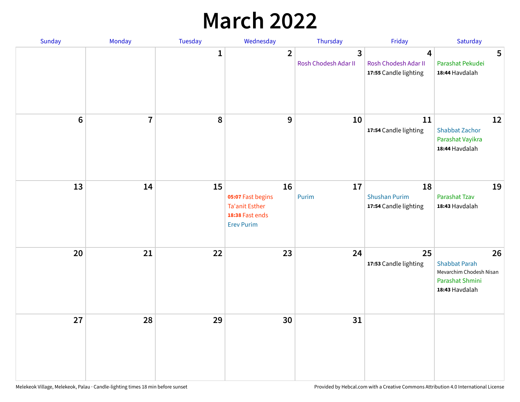## **March 2022**

| Sunday         | Monday         | Tuesday      | Wednesday                                                                                | Thursday                  | Friday                                              | Saturday                                                                                   |
|----------------|----------------|--------------|------------------------------------------------------------------------------------------|---------------------------|-----------------------------------------------------|--------------------------------------------------------------------------------------------|
|                |                | $\mathbf{1}$ | $\overline{2}$                                                                           | 3<br>Rosh Chodesh Adar II | 4<br>Rosh Chodesh Adar II<br>17:55 Candle lighting  | 5<br>Parashat Pekudei<br>18:44 Havdalah                                                    |
| $6\phantom{1}$ | $\overline{7}$ | 8            | $9$                                                                                      | 10                        | 11<br>17:54 Candle lighting                         | 12<br><b>Shabbat Zachor</b><br>Parashat Vayikra<br>18:44 Havdalah                          |
| 13             | 14             | 15           | 16<br>05:07 Fast begins<br><b>Ta'anit Esther</b><br>18:38 Fast ends<br><b>Erev Purim</b> | 17<br>Purim               | 18<br><b>Shushan Purim</b><br>17:54 Candle lighting | 19<br>Parashat Tzav<br>18:43 Havdalah                                                      |
| 20             | 21             | 22           | 23                                                                                       | 24                        | 25<br>17:53 Candle lighting                         | 26<br><b>Shabbat Parah</b><br>Mevarchim Chodesh Nisan<br>Parashat Shmini<br>18:43 Havdalah |
| 27             | 28             | 29           | 30                                                                                       | 31                        |                                                     |                                                                                            |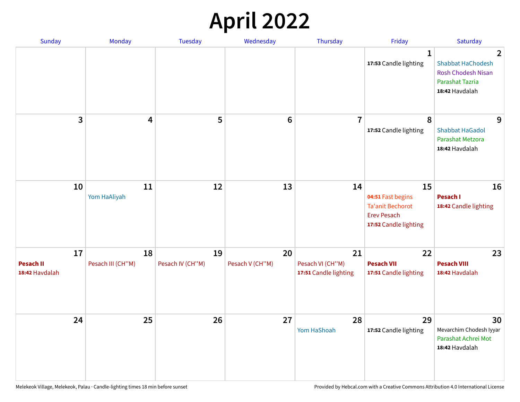## **April 2022**

| Sunday                                   | Monday                  | <b>Tuesday</b>         | Wednesday             | Thursday                                        | Friday                                                                                            | Saturday                                                                                                                     |
|------------------------------------------|-------------------------|------------------------|-----------------------|-------------------------------------------------|---------------------------------------------------------------------------------------------------|------------------------------------------------------------------------------------------------------------------------------|
|                                          |                         |                        |                       |                                                 | $\mathbf{1}$<br>17:53 Candle lighting                                                             | $\overline{\mathbf{2}}$<br><b>Shabbat HaChodesh</b><br><b>Rosh Chodesh Nisan</b><br><b>Parashat Tazria</b><br>18:42 Havdalah |
| 3                                        | $\overline{4}$          | 5                      | $6\phantom{1}6$       | $\overline{7}$                                  | 8<br>17:52 Candle lighting                                                                        | 9<br><b>Shabbat HaGadol</b><br>Parashat Metzora<br>18:42 Havdalah                                                            |
| 10                                       | 11<br>Yom HaAliyah      | 12                     | 13                    | 14                                              | 15<br>04:51 Fast begins<br><b>Ta'anit Bechorot</b><br><b>Erev Pesach</b><br>17:52 Candle lighting | 16<br>Pesach I<br>18:42 Candle lighting                                                                                      |
| 17<br><b>Pesach II</b><br>18:42 Havdalah | 18<br>Pesach III (CH"M) | 19<br>Pesach IV (CH"M) | 20<br>Pesach V (CH"M) | 21<br>Pesach VI (CH"M)<br>17:51 Candle lighting | 22<br><b>Pesach VII</b><br>17:51 Candle lighting                                                  | 23<br><b>Pesach VIII</b><br>18:42 Havdalah                                                                                   |
| 24                                       | 25                      | 26                     | 27                    | 28<br>Yom HaShoah                               | 29<br>17:52 Candle lighting                                                                       | 30<br>Mevarchim Chodesh Iyyar<br>Parashat Achrei Mot<br>18:42 Havdalah                                                       |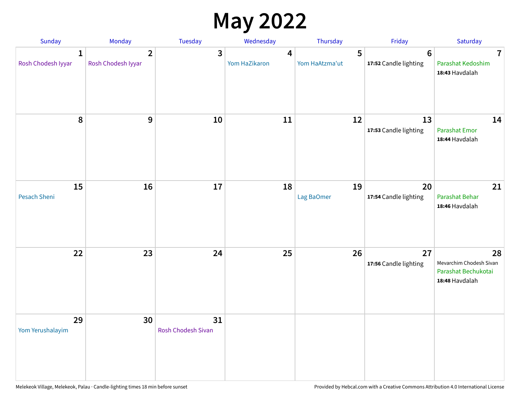## **May 2022**

| Sunday                  | Monday                               | Tuesday                  | Wednesday          | Thursday            | Friday                                  | Saturday                                                               |
|-------------------------|--------------------------------------|--------------------------|--------------------|---------------------|-----------------------------------------|------------------------------------------------------------------------|
| 1<br>Rosh Chodesh Iyyar | $\overline{2}$<br>Rosh Chodesh Iyyar | 3                        | 4<br>Yom HaZikaron | 5<br>Yom HaAtzma'ut | $6\phantom{1}$<br>17:52 Candle lighting | $\overline{\mathbf{7}}$<br>Parashat Kedoshim<br>18:43 Havdalah         |
| 8                       | 9                                    | 10                       | 11                 | 12                  | 13<br>17:53 Candle lighting             | 14<br><b>Parashat Emor</b><br>18:44 Havdalah                           |
| 15<br>Pesach Sheni      | 16                                   | 17                       | 18                 | 19<br>Lag BaOmer    | 20<br>17:54 Candle lighting             | 21<br>Parashat Behar<br>18:46 Havdalah                                 |
| 22                      | 23                                   | 24                       | 25                 | 26                  | 27<br>17:56 Candle lighting             | 28<br>Mevarchim Chodesh Sivan<br>Parashat Bechukotai<br>18:48 Havdalah |
| 29<br>Yom Yerushalayim  | 30                                   | 31<br>Rosh Chodesh Sivan |                    |                     |                                         |                                                                        |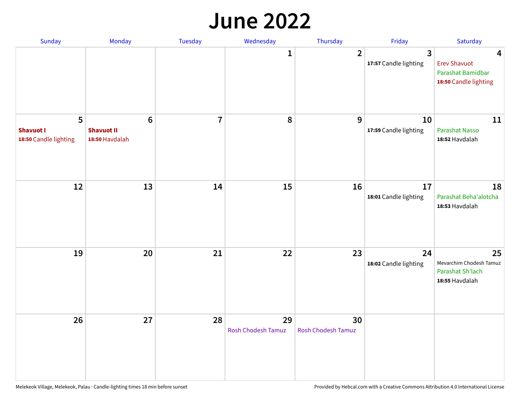#### **June 2022**

| Sunday                                         | Monday                                                | Tuesday        | Wednesday                       | Thursday                        | Friday                      | Saturday                                                               |
|------------------------------------------------|-------------------------------------------------------|----------------|---------------------------------|---------------------------------|-----------------------------|------------------------------------------------------------------------|
|                                                |                                                       |                | 1                               | $\overline{2}$                  | 3<br>17:57 Candle lighting  | 4<br><b>Erev Shavuot</b><br>Parashat Bamidbar<br>18:50 Candle lighting |
| 5<br><b>Shavuot I</b><br>18:50 Candle lighting | $6\phantom{1}$<br><b>Shavuot II</b><br>18:50 Havdalah | $\overline{7}$ | 8                               | 9                               | 10<br>17:59 Candle lighting | 11<br><b>Parashat Nasso</b><br>18:52 Havdalah                          |
| 12                                             | 13                                                    | 14             | 15                              | 16                              | 17<br>18:01 Candle lighting | 18<br>Parashat Beha'alotcha<br>18:53 Havdalah                          |
| 19                                             | 20                                                    | 21             | 22                              | 23                              | 24<br>18:02 Candle lighting | 25<br>Mevarchim Chodesh Tamuz<br>Parashat Sh'lach<br>18:55 Havdalah    |
| 26                                             | 27                                                    | 28             | 29<br><b>Rosh Chodesh Tamuz</b> | 30<br><b>Rosh Chodesh Tamuz</b> |                             |                                                                        |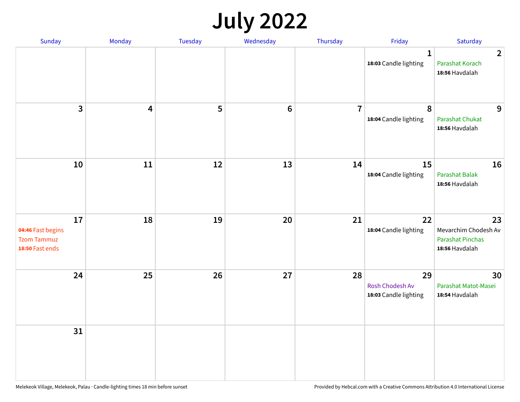## **July 2022**

| Sunday                                                           | Monday                  | Tuesday | Wednesday | Thursday       | Friday                                         | Saturday                                                                |
|------------------------------------------------------------------|-------------------------|---------|-----------|----------------|------------------------------------------------|-------------------------------------------------------------------------|
|                                                                  |                         |         |           |                | $\mathbf{1}$<br>18:03 Candle lighting          | $\overline{2}$<br>Parashat Korach<br>18:56 Havdalah                     |
| $\mathbf{3}$                                                     | $\overline{\mathbf{4}}$ | 5       | $\bf 6$   | $\overline{7}$ | $\pmb{8}$<br>18:04 Candle lighting             | 9<br>Parashat Chukat<br>18:56 Havdalah                                  |
| 10                                                               | 11                      | 12      | 13        | 14             | 15<br>18:04 Candle lighting                    | 16<br><b>Parashat Balak</b><br>18:56 Havdalah                           |
| 17<br>04:46 Fast begins<br><b>Tzom Tammuz</b><br>18:50 Fast ends | 18                      | 19      | 20        | 21             | 22<br>18:04 Candle lighting                    | 23<br>Mevarchim Chodesh Av<br><b>Parashat Pinchas</b><br>18:56 Havdalah |
| 24                                                               | 25                      | 26      | 27        | 28             | 29<br>Rosh Chodesh Av<br>18:03 Candle lighting | 30<br>Parashat Matot-Masei<br>18:54 Havdalah                            |
| 31                                                               |                         |         |           |                |                                                |                                                                         |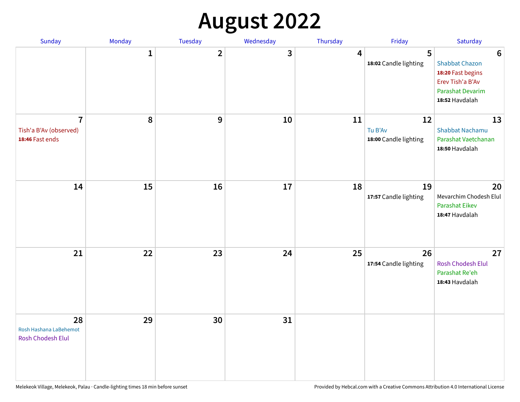## **August 2022**

| Sunday                                                      | Monday       | Tuesday      | Wednesday | Thursday | Friday                                 | Saturday                                                                                                                |
|-------------------------------------------------------------|--------------|--------------|-----------|----------|----------------------------------------|-------------------------------------------------------------------------------------------------------------------------|
|                                                             | $\mathbf{1}$ | $\mathbf{2}$ | 3         | 4        | 5<br>18:02 Candle lighting             | $6\phantom{1}6$<br><b>Shabbat Chazon</b><br>18:20 Fast begins<br>Erev Tish'a B'Av<br>Parashat Devarim<br>18:52 Havdalah |
| $\overline{7}$<br>Tish'a B'Av (observed)<br>18:46 Fast ends | 8            | 9            | 10        | 11       | 12<br>Tu B'Av<br>18:00 Candle lighting | 13<br><b>Shabbat Nachamu</b><br>Parashat Vaetchanan<br>18:50 Havdalah                                                   |
| 14                                                          | 15           | 16           | 17        | 18       | 19<br>17:57 Candle lighting            | 20<br>Mevarchim Chodesh Elul<br>Parashat Eikev<br>18:47 Havdalah                                                        |
| 21                                                          | 22           | 23           | 24        | 25       | 26<br>17:54 Candle lighting            | 27<br>Rosh Chodesh Elul<br>Parashat Re'eh<br>18:43 Havdalah                                                             |
| 28<br>Rosh Hashana LaBehemot<br>Rosh Chodesh Elul           | 29           | 30           | 31        |          |                                        |                                                                                                                         |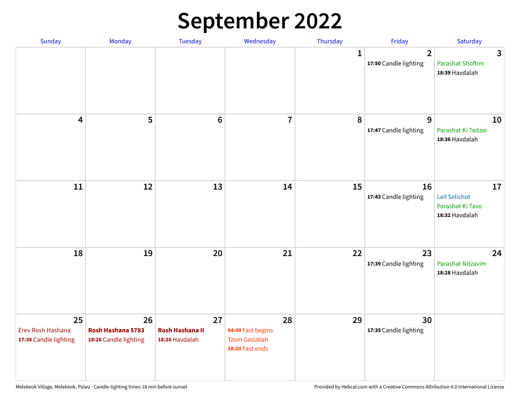## **September 2022**

| Sunday                                           | Monday                                           | Tuesday                                        | Wednesday                                                          | Thursday     | Friday                                  | Saturday                                                  |
|--------------------------------------------------|--------------------------------------------------|------------------------------------------------|--------------------------------------------------------------------|--------------|-----------------------------------------|-----------------------------------------------------------|
|                                                  |                                                  |                                                |                                                                    | $\mathbf{1}$ | $\overline{2}$<br>17:50 Candle lighting | 3<br><b>Parashat Shoftim</b><br>18:39 Havdalah            |
| $\overline{\mathbf{4}}$                          | 5                                                | $6\phantom{1}6$                                | $\overline{7}$                                                     | 8            | 9<br>17:47 Candle lighting              | 10<br>Parashat Ki Teitzei<br>18:36 Havdalah               |
| $11\,$                                           | 12                                               | 13                                             | 14                                                                 | 15           | 16<br>17:43 Candle lighting             | 17<br>Leil Selichot<br>Parashat Ki Tavo<br>18:32 Havdalah |
| 18                                               | 19                                               | 20                                             | 21                                                                 | 22           | 23<br>17:39 Candle lighting             | 24<br>Parashat Nitzavim<br>18:28 Havdalah                 |
| 25<br>Erev Rosh Hashana<br>17:38 Candle lighting | 26<br>Rosh Hashana 5783<br>18:26 Candle lighting | 27<br><b>Rosh Hashana II</b><br>18:26 Havdalah | 28<br>04:49 Fast begins<br><b>Tzom Gedaliah</b><br>18:20 Fast ends | 29           | 30<br>17:35 Candle lighting             |                                                           |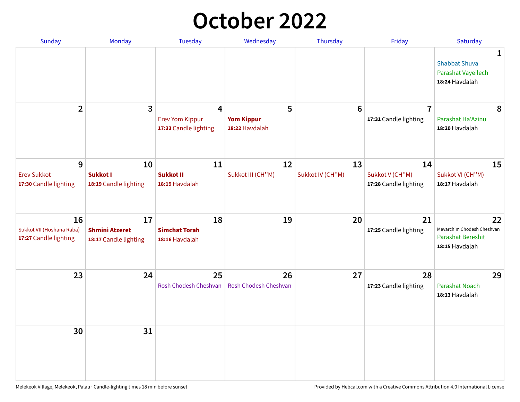## **October 2022**

| Sunday                                                   | Monday                                               | <b>Tuesday</b>                                                    | Wednesday                                | Thursday               | Friday                                         | Saturday                                                                       |
|----------------------------------------------------------|------------------------------------------------------|-------------------------------------------------------------------|------------------------------------------|------------------------|------------------------------------------------|--------------------------------------------------------------------------------|
|                                                          |                                                      |                                                                   |                                          |                        |                                                | 1<br><b>Shabbat Shuva</b><br>Parashat Vayeilech<br>18:24 Havdalah              |
| $\overline{2}$                                           | 3                                                    | $\overline{4}$<br><b>Erev Yom Kippur</b><br>17:33 Candle lighting | 5<br><b>Yom Kippur</b><br>18:22 Havdalah | 6                      | $\overline{7}$<br>17:31 Candle lighting        | 8<br>Parashat Ha'Azinu<br>18:20 Havdalah                                       |
| 9<br><b>Erev Sukkot</b><br>17:30 Candle lighting         | 10<br><b>Sukkot I</b><br>18:19 Candle lighting       | 11<br><b>Sukkot II</b><br>18:19 Havdalah                          | 12<br>Sukkot III (CH"M)                  | 13<br>Sukkot IV (CH"M) | 14<br>Sukkot V (CH"M)<br>17:28 Candle lighting | 15<br>Sukkot VI (CH"M)<br>18:17 Havdalah                                       |
| 16<br>Sukkot VII (Hoshana Raba)<br>17:27 Candle lighting | 17<br><b>Shmini Atzeret</b><br>18:17 Candle lighting | 18<br><b>Simchat Torah</b><br>18:16 Havdalah                      | 19                                       | 20                     | 21<br>17:25 Candle lighting                    | 22<br>Mevarchim Chodesh Cheshvan<br><b>Parashat Bereshit</b><br>18:15 Havdalah |
| 23                                                       | 24                                                   | 25<br>Rosh Chodesh Cheshvan                                       | 26<br>Rosh Chodesh Cheshvan              | 27                     | 28<br>17:23 Candle lighting                    | 29<br><b>Parashat Noach</b><br>18:13 Havdalah                                  |
| 30                                                       | 31                                                   |                                                                   |                                          |                        |                                                |                                                                                |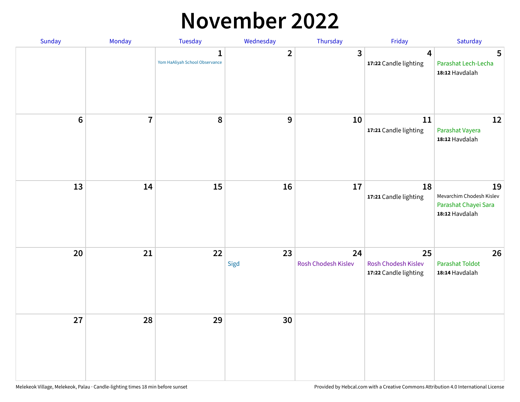#### **November 2022**

| Sunday         | Monday                  | <b>Tuesday</b>                                 | Wednesday               | Thursday                  | Friday                                             | Saturday                                                                 |
|----------------|-------------------------|------------------------------------------------|-------------------------|---------------------------|----------------------------------------------------|--------------------------------------------------------------------------|
|                |                         | $\mathbf{1}$<br>Yom HaAliyah School Observance | $\overline{\mathbf{2}}$ | $\mathbf{3}$              | $\overline{\mathbf{4}}$<br>17:22 Candle lighting   | 5<br>Parashat Lech-Lecha<br>18:12 Havdalah                               |
| $6\phantom{1}$ | $\overline{\mathbf{7}}$ | 8                                              | $\boldsymbol{9}$        | 10                        | 11<br>17:21 Candle lighting                        | 12<br>Parashat Vayera<br>18:12 Havdalah                                  |
| 13             | 14                      | 15                                             | 16                      | 17                        | 18<br>17:21 Candle lighting                        | 19<br>Mevarchim Chodesh Kislev<br>Parashat Chayei Sara<br>18:12 Havdalah |
| 20             | 21                      | 22                                             | 23<br>Sigd              | 24<br>Rosh Chodesh Kislev | 25<br>Rosh Chodesh Kislev<br>17:22 Candle lighting | 26<br><b>Parashat Toldot</b><br>18:14 Havdalah                           |
| 27             | 28                      | 29                                             | 30                      |                           |                                                    |                                                                          |